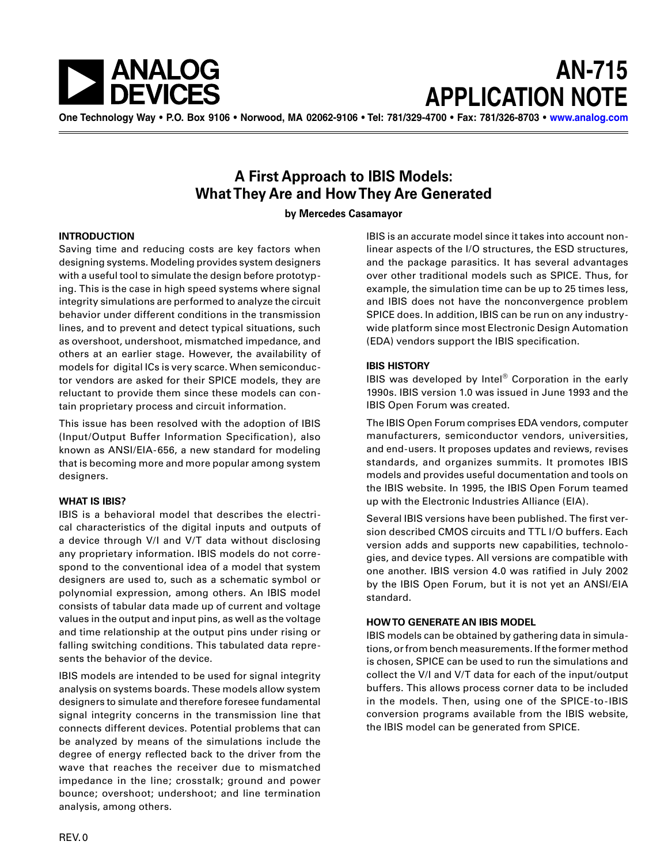

# **AN-715 APPLICATION NOTE**

**One Technology Way • P.O. Box 9106 • Norwood, MA 02062-9106 • Tel: 781/329-4700 • Fax: 781/326-8703 • [www.analog.com](http://www.analog.com)**

### **A First Approach to IBIS Models: What They Are and How They Are Generated**

**by Mercedes Casamayor**

#### **INTRODUCTION**

Saving time and reducing costs are key factors when designing systems. Modeling provides system designers with a useful tool to simulate the design before prototyping. This is the case in high speed systems where signal integrity simulations are performed to analyze the circuit behavior under different conditions in the transmission lines, and to prevent and detect typical situations, such as overshoot, undershoot, mismatched impedance, and others at an earlier stage. However, the availability of models for digital ICs is very scarce. When semiconductor vendors are asked for their SPICE models, they are reluctant to provide them since these models can contain proprietary process and circuit information.

This issue has been resolved with the adoption of IBIS (Input/Output Buffer Information Specification), also known as ANSI/EIA-656, a new standard for modeling that is becoming more and more popular among system designers.

#### **WHAT IS IBIS?**

IBIS is a behavioral model that describes the electrical characteristics of the digital inputs and outputs of a device through V/I and V/T data without disclosing any proprietary information. IBIS models do not correspond to the conventional idea of a model that system designers are used to, such as a schematic symbol or polynomial expression, among others. An IBIS model consists of tabular data made up of current and voltage values in the output and input pins, as well as the voltage and time relationship at the output pins under rising or falling switching conditions. This tabulated data represents the behavior of the device.

IBIS models are intended to be used for signal integrity analysis on systems boards. These models allow system designers to simulate and therefore foresee fundamental signal integrity concerns in the transmission line that connects different devices. Potential problems that can be analyzed by means of the simulations include the degree of energy reflected back to the driver from the wave that reaches the receiver due to mismatched impedance in the line; crosstalk; ground and power bounce; overshoot; undershoot; and line termination analysis, among others.

IBIS is an accurate model since it takes into account nonlinear aspects of the I/O structures, the ESD structures, and the package parasitics. It has several advantages over other traditional models such as SPICE. Thus, for example, the simulation time can be up to 25 times less, and IBIS does not have the nonconvergence problem SPICE does. In addition, IBIS can be run on any industrywide platform since most Electronic Design Automation (EDA) vendors support the IBIS specification.

#### **IBIS HISTORY**

IBIS was developed by Intel® Corporation in the early 1990s. IBIS version 1.0 was issued in June 1993 and the IBIS Open Forum was created.

The IBIS Open Forum comprises EDA vendors, computer manufacturers, semiconductor vendors, universities, and end-users. It proposes updates and reviews, revises standards, and organizes summits. It promotes IBIS models and provides useful documentation and tools on the IBIS website. In 1995, the IBIS Open Forum teamed up with the Electronic Industries Alliance (EIA).

Several IBIS versions have been published. The first version described CMOS circuits and TTL I/O buffers. Each version adds and supports new capabilities, technologies, and device types. All versions are compatible with one another. IBIS version 4.0 was ratified in July 2002 by the IBIS Open Forum, but it is not yet an ANSI/EIA standard.

#### **HOW TO GENERATE AN IBIS MODEL**

IBIS models can be obtained by gathering data in simulations, or from bench measurements. If the former method is chosen, SPICE can be used to run the simulations and collect the V/I and V/T data for each of the input/output buffers. This allows process corner data to be included in the models. Then, using one of the SPICE-to-IBIS conversion programs available from the IBIS website, the IBIS model can be generated from SPICE.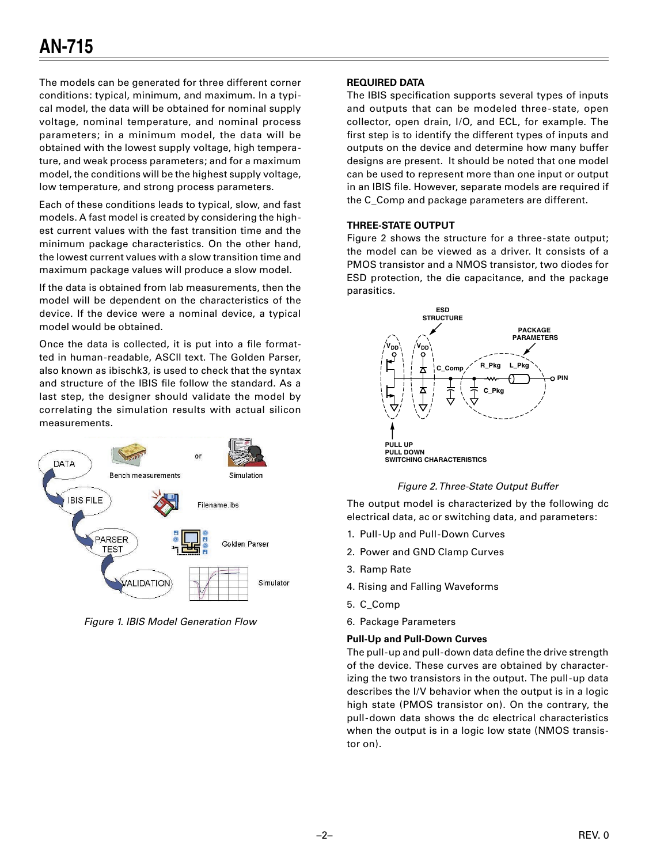The models can be generated for three different corner conditions: typical, minimum, and maximum. In a typical model, the data will be obtained for nominal supply voltage, nominal temperature, and nominal process parameters; in a minimum model, the data will be obtained with the lowest supply voltage, high temperature, and weak process parameters; and for a maximum model, the conditions will be the highest supply voltage, low temperature, and strong process parameters.

Each of these conditions leads to typical, slow, and fast models. A fast model is created by considering the highest current values with the fast transition time and the minimum package characteristics. On the other hand, the lowest current values with a slow transition time and maximum package values will produce a slow model.

If the data is obtained from lab measurements, then the model will be dependent on the characteristics of the device. If the device were a nominal device, a typical model would be obtained.

Once the data is collected, it is put into a file formatted in human-readable, ASCII text. The Golden Parser, also known as ibischk3, is used to check that the syntax and structure of the IBIS file follow the standard. As a last step, the designer should validate the model by correlating the simulation results with actual silicon measurements.



Figure 1. IBIS Model Generation Flow

#### **REQUIRED DATA**

The IBIS specification supports several types of inputs and outputs that can be modeled three-state, open collector, open drain, I/O, and ECL, for example. The first step is to identify the different types of inputs and outputs on the device and determine how many buffer designs are present. It should be noted that one model can be used to represent more than one input or output in an IBIS file. However, separate models are required if the C\_Comp and package parameters are different.

#### **THREE-STATE OUTPUT**

Figure 2 shows the structure for a three-state output; the model can be viewed as a driver. It consists of a PMOS transistor and a NMOS transistor, two diodes for ESD protection, the die capacitance, and the package parasitics.



#### Figure 2. Three-State Output Buffer

The output model is characterized by the following dc electrical data, ac or switching data, and parameters:

- 1. Pull-Up and Pull-Down Curves
- 2. Power and GND Clamp Curves
- 3. Ramp Rate
- 4. Rising and Falling Waveforms
- 5. C\_Comp
- 6. Package Parameters

#### **Pull-Up and Pull-Down Curves**

The pull-up and pull-down data define the drive strength of the device. These curves are obtained by characterizing the two transistors in the output. The pull-up data describes the I/V behavior when the output is in a logic high state (PMOS transistor on). On the contrary, the pull-down data shows the dc electrical characteristics when the output is in a logic low state (NMOS transistor on).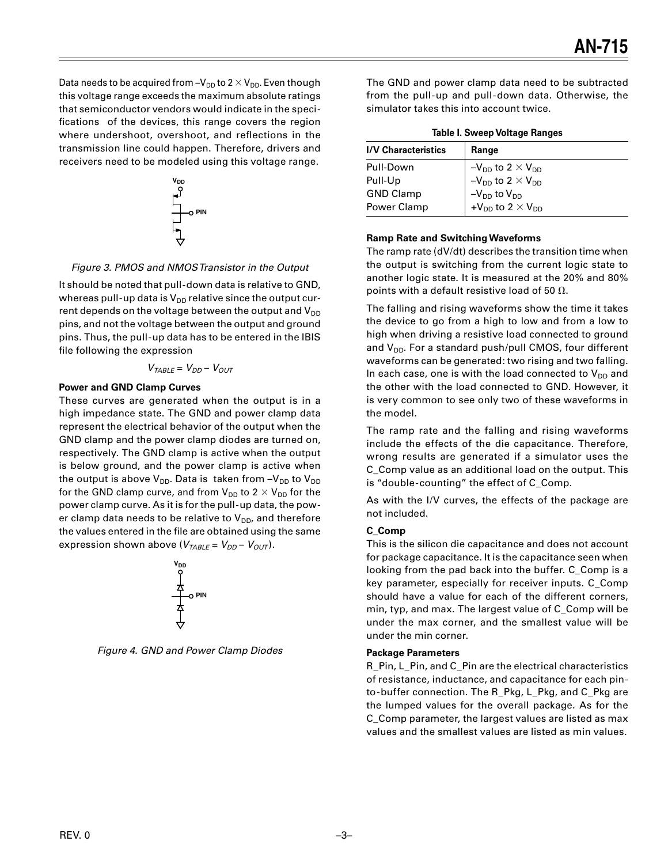Data needs to be acquired from  $-V_{DD}$  to 2  $\times$  V<sub>DD</sub>. Even though this voltage range exceeds the maximum absolute ratings that semiconductor vendors would indicate in the specifications of the devices, this range covers the region where undershoot, overshoot, and reflections in the transmission line could happen. Therefore, drivers and receivers need to be modeled using this voltage range.



#### Figure 3. PMOS and NMOS Transistor in the Output

It should be noted that pull-down data is relative to GND, whereas pull-up data is  $V_{DD}$  relative since the output current depends on the voltage between the output and  $V_{DD}$ pins, and not the voltage between the output and ground pins. Thus, the pull-up data has to be entered in the IBIS file following the expression

$$
V_{\text{TABLE}} = V_{DD} - V_{OUT}
$$

#### **Power and GND Clamp Curves**

These curves are generated when the output is in a high impedance state. The GND and power clamp data represent the electrical behavior of the output when the GND clamp and the power clamp diodes are turned on, respectively. The GND clamp is active when the output is below ground, and the power clamp is active when the output is above  $V_{DD}$ . Data is taken from  $-V_{DD}$  to  $V_{DD}$ for the GND clamp curve, and from  $V_{DD}$  to 2  $\times$   $V_{DD}$  for the power clamp curve. As it is for the pull-up data, the power clamp data needs to be relative to  $V_{DD}$ , and therefore the values entered in the file are obtained using the same expression shown above ( $V_{TABLE} = V_{DD} - V_{OUT}$ ).



Figure 4. GND and Power Clamp Diodes

The GND and power clamp data need to be subtracted from the pull-up and pull-down data. Otherwise, the simulator takes this into account twice.

| Table I. Sweep Voltage Ranges |                                                                                                                                                               |
|-------------------------------|---------------------------------------------------------------------------------------------------------------------------------------------------------------|
| <b>I/V Characteristics</b>    | Range                                                                                                                                                         |
| Pull-Down                     |                                                                                                                                                               |
| Pull-Up                       |                                                                                                                                                               |
| <b>GND Clamp</b>              |                                                                                                                                                               |
| Power Clamp                   | $-V_{DD}$ to 2 × V <sub>DD</sub><br>-V <sub>DD</sub> to 2 × V <sub>DD</sub><br>-V <sub>DD</sub> to V <sub>DD</sub><br>+V <sub>DD</sub> to 2 × V <sub>DD</sub> |

#### **Ramp Rate and Switching Waveforms**

The ramp rate (dV/dt) describes the transition time when the output is switching from the current logic state to another logic state. It is measured at the 20% and 80% points with a default resistive load of 50  $\Omega$ .

The falling and rising waveforms show the time it takes the device to go from a high to low and from a low to high when driving a resistive load connected to ground and  $V_{DD}$ . For a standard push/pull CMOS, four different waveforms can be generated: two rising and two falling. In each case, one is with the load connected to  $V_{DD}$  and the other with the load connected to GND. However, it is very common to see only two of these waveforms in the model.

The ramp rate and the falling and rising waveforms include the effects of the die capacitance. Therefore, wrong results are generated if a simulator uses the C\_Comp value as an additional load on the output. This is "double-counting" the effect of C\_Comp.

As with the I/V curves, the effects of the package are not included.

#### **C\_Comp**

This is the silicon die capacitance and does not account for package capacitance. It is the capacitance seen when looking from the pad back into the buffer. C\_Comp is a key parameter, especially for receiver inputs. C\_Comp should have a value for each of the different corners, min, typ, and max. The largest value of C\_Comp will be under the max corner, and the smallest value will be under the min corner.

#### **Package Parameters**

R\_Pin, L\_Pin, and C\_Pin are the electrical characteristics of resistance, inductance, and capacitance for each pinto-buffer connection. The R\_Pkg, L\_Pkg, and C\_Pkg are the lumped values for the overall package. As for the C\_Comp parameter, the largest values are listed as max values and the smallest values are listed as min values.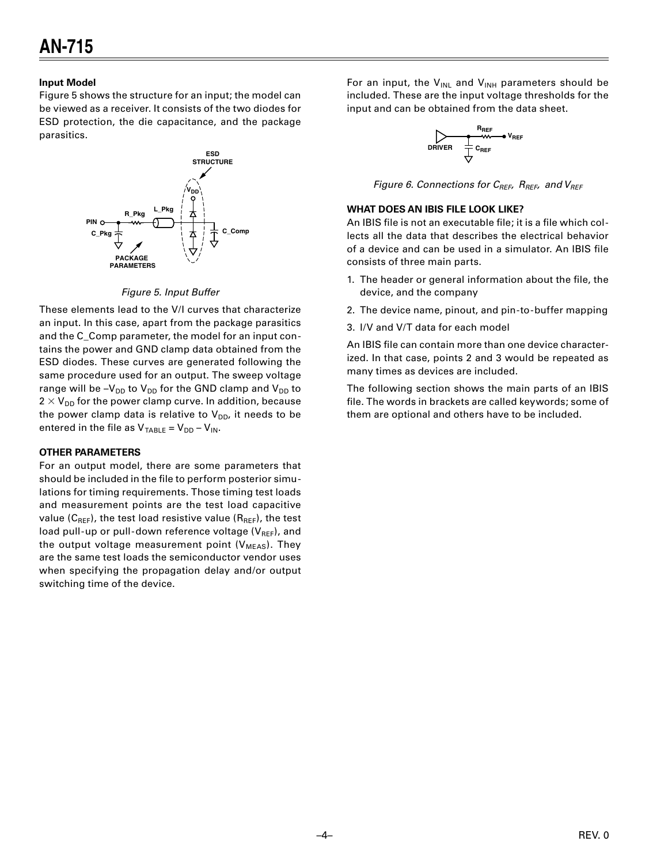#### **Input Model**

Figure 5 shows the structure for an input; the model can be viewed as a receiver. It consists of the two diodes for ESD protection, the die capacitance, and the package parasitics.



#### Figure 5. Input Buffer

These elements lead to the V/I curves that characterize an input. In this case, apart from the package parasitics and the C\_Comp parameter, the model for an input contains the power and GND clamp data obtained from the ESD diodes. These curves are generated following the same procedure used for an output. The sweep voltage range will be  $-V_{DD}$  to  $V_{DD}$  for the GND clamp and  $V_{DD}$  to  $2 \times V_{DD}$  for the power clamp curve. In addition, because the power clamp data is relative to  $V_{DD}$ , it needs to be entered in the file as  $V_{TABLE} = V_{DD} - V_{IN}$ .

#### **OTHER PARAMETERS**

For an output model, there are some parameters that should be included in the file to perform posterior simulations for timing requirements. Those timing test loads and measurement points are the test load capacitive value ( $C_{REF}$ ), the test load resistive value ( $R_{REF}$ ), the test load pull-up or pull-down reference voltage  $(V_{REF})$ , and the output voltage measurement point ( $V_{MEAS}$ ). They are the same test loads the semiconductor vendor uses when specifying the propagation delay and/or output switching time of the device.

For an input, the  $V_{INL}$  and  $V_{INH}$  parameters should be included. These are the input voltage thresholds for the input and can be obtained from the data sheet.

$$
\begin{matrix}\n & R_{REF} \\
 & \searrow \\
 & \searrow \\
 & P_{REF}\n\end{matrix}
$$

Figure 6. Connections for  $C_{REF}$ ,  $R_{REF}$ , and  $V_{REF}$ 

#### **WHAT DOES AN IBIS FILE LOOK LIKE?**

An IBIS file is not an executable file; it is a file which collects all the data that describes the electrical behavior of a device and can be used in a simulator. An IBIS file consists of three main parts.

- 1. The header or general information about the file, the device, and the company
- 2. The device name, pinout, and pin-to-buffer mapping
- 3. I/V and V/T data for each model

An IBIS file can contain more than one device characterized. In that case, points 2 and 3 would be repeated as many times as devices are included.

The following section shows the main parts of an IBIS file. The words in brackets are called keywords; some of them are optional and others have to be included.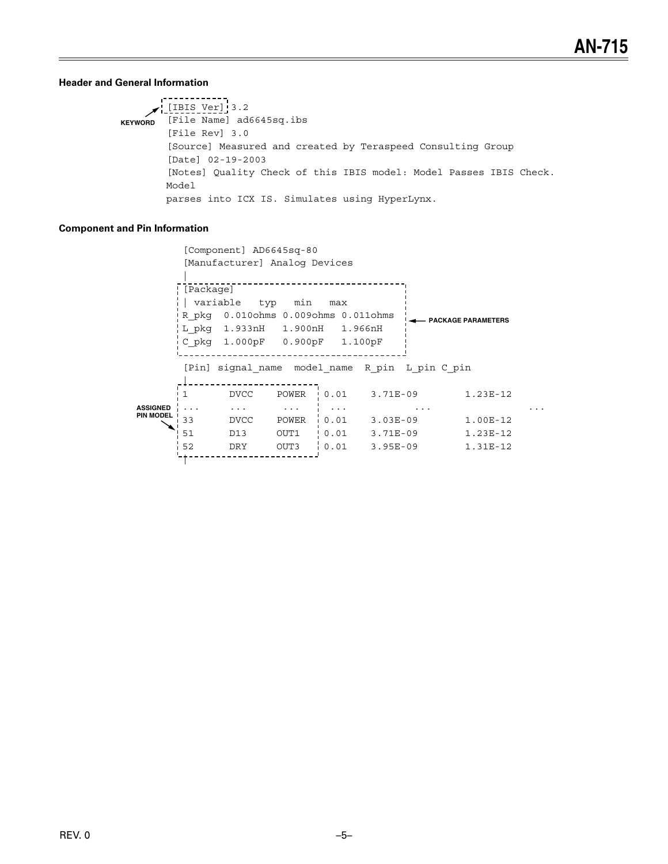#### **Header and General Information**

```
-----------
    \sqrt{\frac{[IBIS\ Ver]}{3.2}}KEYWORD [File Name] ad6645sq.ibs
        [File Rev] 3.0
        [Source] Measured and created by Teraspeed Consulting Group
        [Date] 02-19-2003
        [Notes] Quality Check of this IBIS model: Model Passes IBIS Check.
        Model
        parses into ICX IS. Simulates using HyperLynx.
```
#### **Component and Pin Information**

```
[Component] AD6645sq-80
           [Manufacturer] Analog Devices
                       [ [Package]
          | variable typ min max
          R_pkg 0.010ohms 0.009ohms 0.011ohms | THE PACKAGE PARAMETERS
          L_pkg  1.933nH  1.900nH  1.966nH
          C_pkg 1.000pF 0.900pF 1.100pF
         [Pin] signal name model name R pin L pin C pin
         -1-----------------------
         1 DVCC POWER 0.01 3.71E-09
                                                                        1.23E-12
\ldots1.00E-12
       \begin{array}{ccccccccc} \text{N} & 33 & & & & \text{DUC} & & & \text{1} & & & \text{1} & & \text{1} & & \text{1} & & \text{1} & & \text{1} & & \text{1} & & \text{1} & & \text{1} & & \text{1} & & \text{1} & & \text{1} & & \text{1} & & \text{1} & & \text{1} & & \text{1} & & \text{1} & & \text{1} & & \text{1} & & \text{1} & & \text{1} & & \text{1} & & \text{1} & & \text{1} & & \text{1} & & \text{1} & & \text{1} &1.23E-121.31E-12
```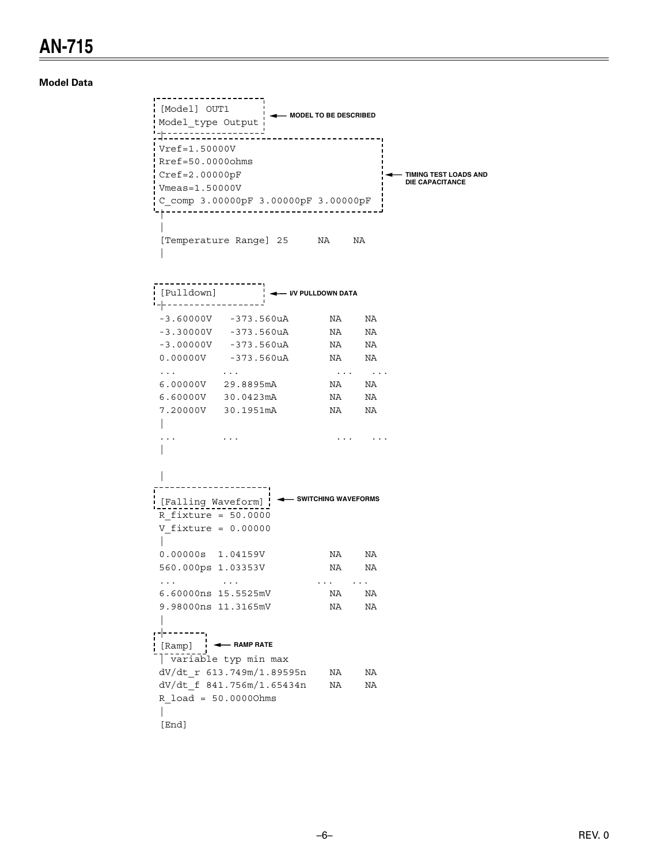### **AN-715**

**Model Data** 

```
--------------------
[Model] OUT1 |
                         MODEL TO BE DESCRIBED
Model_type Output:
Vref=1.50000VRref=50.00000hmsCref=2.00000pFTIMING TEST LOADS AND
                                                         DIE CAPACITANCE
Vmeas = 1.50000VC comp 3.00000pF 3.00000pF 3.00000pF
[Temperature Range] 25 NA NA
 \mathbb{L}i-p-------------------
-3.60000V -373.560uANA NA
-3.30000V - 373.560uANA NA
                                      NA NA
 -3.00000V - 373.560uA0.00000V -373.560uA
                                      NA NA
 \mathbf{1} \mathbf{1} \mathbf{1} \mathbf{1} and \mathbf{1} \mathbf{1}NA NA
 6.00000V 29.8895mA
 6.60000V 30.0423mA
                                      NA NA
                                      NA NA
 7.20000V 30.1951mA
 \mathbf{L}\cdots\sim \sim \sim \sim\sim 1.4 \sim 1.4 \sim 1.4 \sim\mathbb{L}\mathbb{L}\left[\text{Falling Waveform}\right] \leftarrow SWITCHING WAVEFORMS
 R fixture = 50.0000V_{\text{1}} fixture = 0.00000
 \mathbb{L}0.00000s 1.04159V
                                      NA NA
 560.000ps 1.03353V
                                     NA NA
 \mathbf{1} \mathbf{1} \mathbf{1} \mathbf{1} \mathbf{1} \mathbf{1} \mathbf{1} \mathbf{1} \mathbf{1} \mathbf{1} \mathbf{1} \mathbf{1} \mathbf{1} \mathbf{1} \mathbf{1} \mathbf{1} \mathbf{1} \mathbf{1} \mathbf{1} \mathbf{1} \mathbf{1} \mathbf{1} \mathbf{1} \mathbf{1} \mathbf{1} \mathbf{1} \mathbf{1} \mathbf{1} \mathbf{1} \mathbf{1} \mathbf{1} \mathbf{1} \mathbf{1} \mathbf{1} \mathbf{1} \mathbf{1} \mathbf{\sim 100 km s ^{-1}\sim 100 km s ^{-1}6.60000ns 15.5525mV
                                  NA NA
 9.98000ns 11.3165mV
                                      NA NA
,---------,
 [Ramp] \leftarrow RAMP RATE
 variable typ min max
dV/dt<sub>r</sub> 613.749m/1.89595n NA
                                              NA
 dV/dt f 841.756m/1.65434n NA
                                                NA
 R load = 50.00000hms
 T.
 [End]
```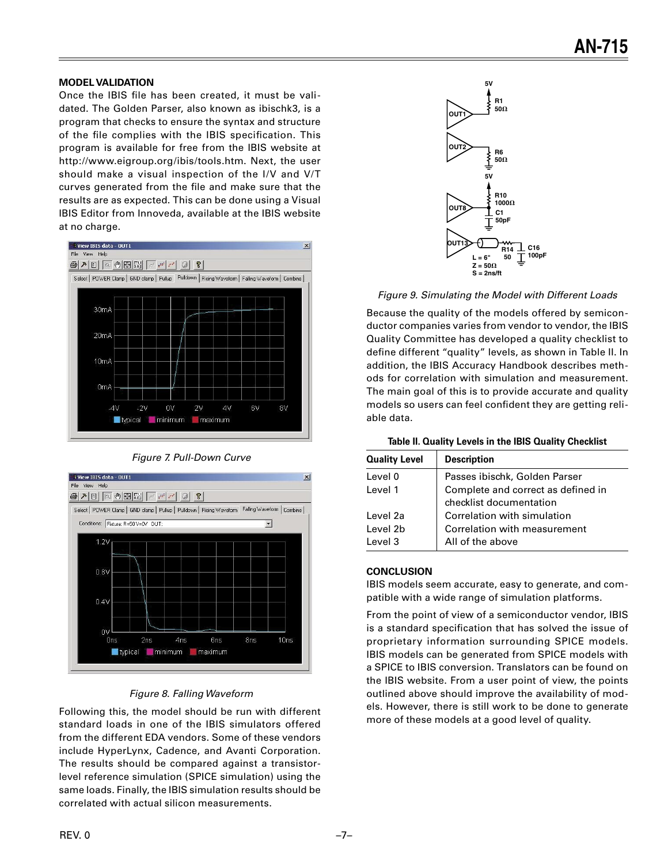#### **MODEL VALIDATION**

Once the IBIS file has been created, it must be validated. The Golden Parser, also known as ibischk3, is a program that checks to ensure the syntax and structure of the file complies with the IBIS specification. This program is available for free from the IBIS website at http://www.eigroup.org/ibis/tools.htm. Next, the user should make a visual inspection of the I/V and V/T curves generated from the file and make sure that the results are as expected. This can be done using a Visual IBIS Editor from Innoveda, available at the IBIS website at no charge.



Figure 7. Pull-Down Curve



#### Figure 8. Falling Waveform

Following this, the model should be run with different standard loads in one of the IBIS simulators offered from the different EDA vendors. Some of these vendors include HyperLynx, Cadence, and Avanti Corporation. The results should be compared against a transistorlevel reference simulation (SPICE simulation) using the same loads. Finally, the IBIS simulation results should be correlated with actual silicon measurements.



Figure 9. Simulating the Model with Different Loads

Because the quality of the models offered by semiconductor companies varies from vendor to vendor, the IBIS Quality Committee has developed a quality checklist to define different "quality" levels, as shown in Table II. In addition, the IBIS Accuracy Handbook describes methods for correlation with simulation and measurement. The main goal of this is to provide accurate and quality models so users can feel confident they are getting reliable data.

#### **Table II. Quality Levels in the IBIS Quality Checklist**

| <b>Quality Level</b> | <b>Description</b>                 |
|----------------------|------------------------------------|
| Level 0              | Passes ibischk, Golden Parser      |
| Level 1              | Complete and correct as defined in |
|                      | checklist documentation            |
| Level 2a             | Correlation with simulation        |
| Level 2b             | Correlation with measurement       |
| Level 3              | All of the above                   |

#### **CONCLUSION**

IBIS models seem accurate, easy to generate, and compatible with a wide range of simulation platforms.

From the point of view of a semiconductor vendor, IBIS is a standard specification that has solved the issue of proprietary information surrounding SPICE models. IBIS models can be generated from SPICE models with a SPICE to IBIS conversion. Translators can be found on the IBIS website. From a user point of view, the points outlined above should improve the availability of models. However, there is still work to be done to generate more of these models at a good level of quality.